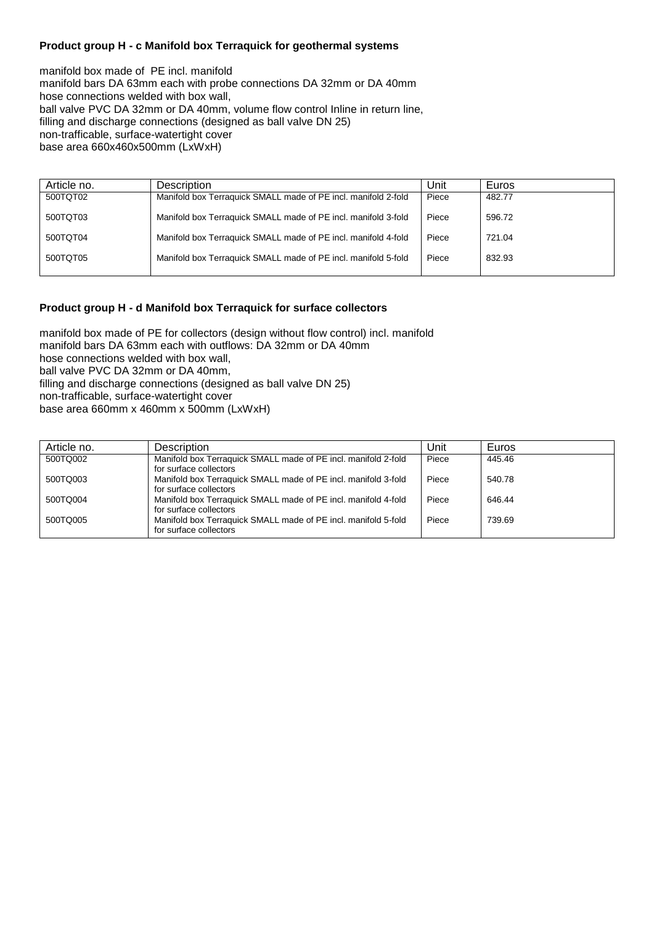# **Product group H - c Manifold box Terraquick for geothermal systems**

manifold box made of PE incl. manifold manifold bars DA 63mm each with probe connections DA 32mm or DA 40mm hose connections welded with box wall, ball valve PVC DA 32mm or DA 40mm, volume flow control Inline in return line, filling and discharge connections (designed as ball valve DN 25) non-trafficable, surface-watertight cover base area 660x460x500mm (LxWxH)

| Article no. | Description                                                    | Unit  | Euros  |
|-------------|----------------------------------------------------------------|-------|--------|
| 500TQT02    | Manifold box Terraquick SMALL made of PE incl. manifold 2-fold | Piece | 482.77 |
| 500TQT03    | Manifold box Terraquick SMALL made of PE incl. manifold 3-fold | Piece | 596.72 |
| 500TQT04    | Manifold box Terraquick SMALL made of PE incl. manifold 4-fold | Piece | 721.04 |
| 500TQT05    | Manifold box Terraquick SMALL made of PE incl. manifold 5-fold | Piece | 832.93 |
|             |                                                                |       |        |

#### **Product group H - d Manifold box Terraquick for surface collectors**

manifold box made of PE for collectors (design without flow control) incl. manifold manifold bars DA 63mm each with outflows: DA 32mm or DA 40mm hose connections welded with box wall, ball valve PVC DA 32mm or DA 40mm, filling and discharge connections (designed as ball valve DN 25) non-trafficable, surface-watertight cover base area 660mm x 460mm x 500mm (LxWxH)

| Article no. | <b>Description</b>                                                                       | Unit  | Euros  |
|-------------|------------------------------------------------------------------------------------------|-------|--------|
| 500TQ002    | Manifold box Terraquick SMALL made of PE incl. manifold 2-fold<br>for surface collectors | Piece | 445.46 |
| 500TQ003    | Manifold box Terraquick SMALL made of PE incl. manifold 3-fold<br>for surface collectors | Piece | 540.78 |
| 500TQ004    | Manifold box Terraquick SMALL made of PE incl. manifold 4-fold<br>for surface collectors | Piece | 646.44 |
| 500TQ005    | Manifold box Terraquick SMALL made of PE incl. manifold 5-fold<br>for surface collectors | Piece | 739.69 |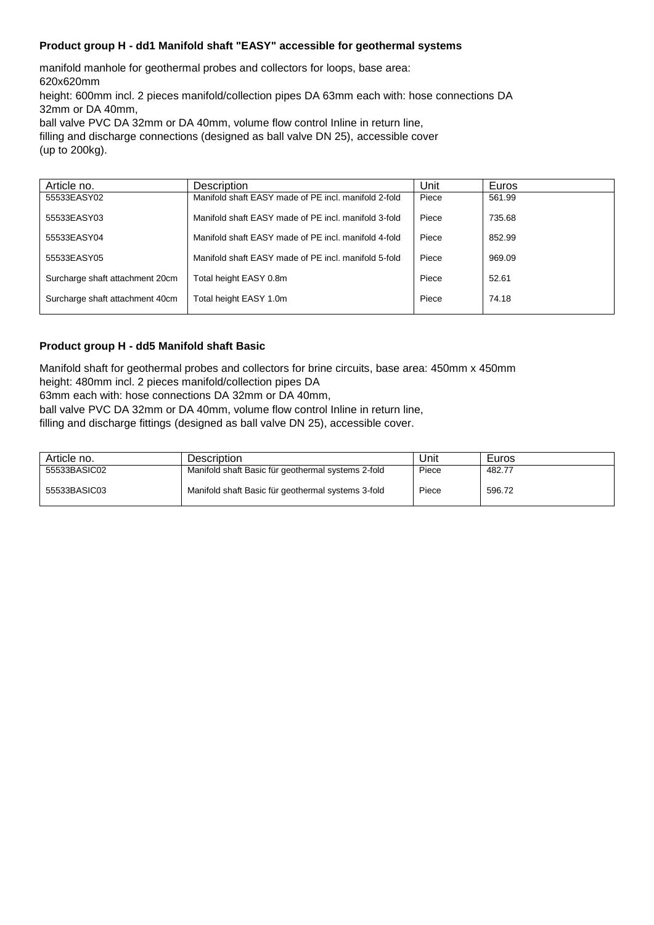# **Product group H - dd1 Manifold shaft "EASY" accessible for geothermal systems**

manifold manhole for geothermal probes and collectors for loops, base area: 620x620mm

height: 600mm incl. 2 pieces manifold/collection pipes DA 63mm each with: hose connections DA 32mm or DA 40mm,

ball valve PVC DA 32mm or DA 40mm, volume flow control Inline in return line,

filling and discharge connections (designed as ball valve DN 25), accessible cover (up to 200kg).

| Article no.                     | Description                                          | Unit  | Euros  |
|---------------------------------|------------------------------------------------------|-------|--------|
| 55533EASY02                     | Manifold shaft EASY made of PE incl. manifold 2-fold | Piece | 561.99 |
| 55533EASY03                     | Manifold shaft EASY made of PE incl. manifold 3-fold | Piece | 735.68 |
| 55533EASY04                     | Manifold shaft EASY made of PE incl. manifold 4-fold | Piece | 852.99 |
| 55533EASY05                     | Manifold shaft EASY made of PE incl. manifold 5-fold | Piece | 969.09 |
| Surcharge shaft attachment 20cm | Total height EASY 0.8m                               | Piece | 52.61  |
| Surcharge shaft attachment 40cm | Total height EASY 1.0m                               | Piece | 74.18  |

# **Product group H - dd5 Manifold shaft Basic**

Manifold shaft for geothermal probes and collectors for brine circuits, base area: 450mm x 450mm height: 480mm incl. 2 pieces manifold/collection pipes DA

63mm each with: hose connections DA 32mm or DA 40mm,

ball valve PVC DA 32mm or DA 40mm, volume flow control Inline in return line,

filling and discharge fittings (designed as ball valve DN 25), accessible cover.

| Article no.  | <b>Description</b>                                 | Unit  | Euros  |
|--------------|----------------------------------------------------|-------|--------|
| 55533BASIC02 | Manifold shaft Basic für geothermal systems 2-fold | Piece | 482.77 |
| 55533BASIC03 | Manifold shaft Basic für geothermal systems 3-fold | Piece | 596.72 |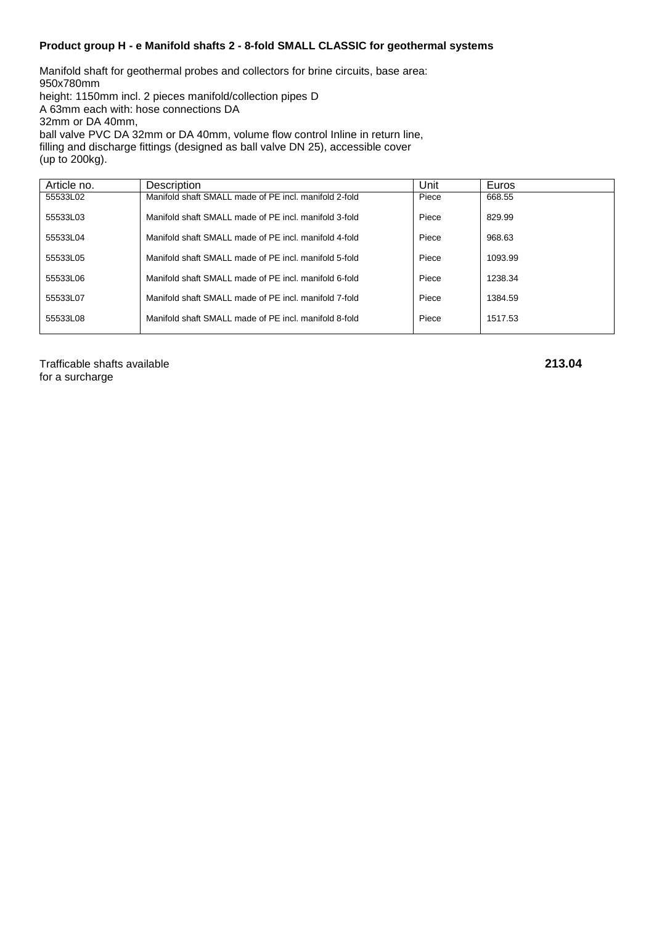# **Product group H - e Manifold shafts 2 - 8-fold SMALL CLASSIC for geothermal systems**

Manifold shaft for geothermal probes and collectors for brine circuits, base area: 950x780mm height: 1150mm incl. 2 pieces manifold/collection pipes D A 63mm each with: hose connections DA 32mm or DA 40mm, ball valve PVC DA 32mm or DA 40mm, volume flow control Inline in return line, filling and discharge fittings (designed as ball valve DN 25), accessible cover (up to 200kg).

| Article no. | Description                                           | Unit  | Euros   |
|-------------|-------------------------------------------------------|-------|---------|
| 55533L02    | Manifold shaft SMALL made of PE incl. manifold 2-fold | Piece | 668.55  |
| 55533L03    | Manifold shaft SMALL made of PE incl. manifold 3-fold | Piece | 829.99  |
| 55533L04    | Manifold shaft SMALL made of PE incl. manifold 4-fold | Piece | 968.63  |
| 55533L05    | Manifold shaft SMALL made of PE incl. manifold 5-fold | Piece | 1093.99 |
| 55533L06    | Manifold shaft SMALL made of PE incl. manifold 6-fold | Piece | 1238.34 |
| 55533L07    | Manifold shaft SMALL made of PE incl. manifold 7-fold | Piece | 1384.59 |
| 55533L08    | Manifold shaft SMALL made of PE incl. manifold 8-fold | Piece | 1517.53 |

Trafficable shafts available **213.04** for a surcharge